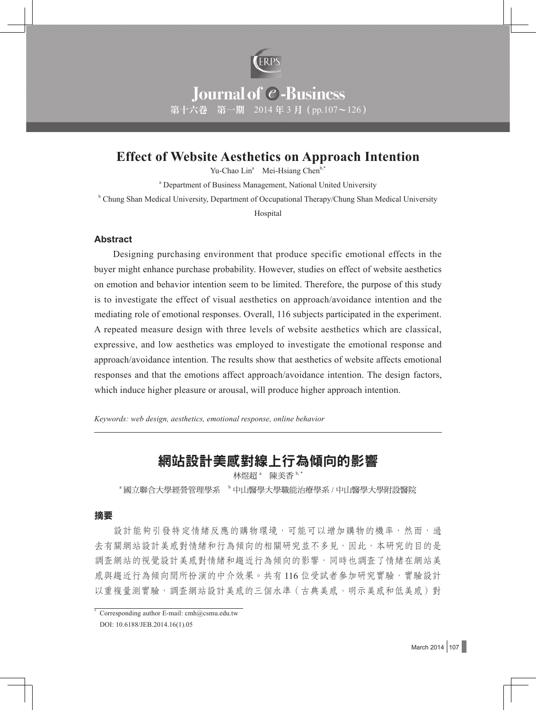

# **Effect of Website Aesthetics on Approach Intention**

Yu-Chao Lin<sup>a</sup> Mei-Hsiang Chen<sup>b,\*</sup>

<sup>a</sup> Department of Business Management, National United University

<sup>b</sup> Chung Shan Medical University, Department of Occupational Therapy/Chung Shan Medical University

**Hospital** 

### **Abstract**

Designing purchasing environment that produce specific emotional effects in the buyer might enhance purchase probability. However, studies on effect of website aesthetics on emotion and behavior intention seem to be limited. Therefore, the purpose of this study is to investigate the effect of visual aesthetics on approach/avoidance intention and the mediating role of emotional responses. Overall, 116 subjects participated in the experiment. A repeated measure design with three levels of website aesthetics which are classical, expressive, and low aesthetics was employed to investigate the emotional response and approach/avoidance intention. The results show that aesthetics of website affects emotional responses and that the emotions affect approach/avoidance intention. The design factors, which induce higher pleasure or arousal, will produce higher approach intention.

*Keywords: web design, aesthetics, emotional response, online behavior*

# 網站設計美感對線上行為傾向的影響

林煜超<sup>。</sup> 陳美香 b,\*

<sup>a</sup> 國立聯合大學經營管理學系 <sup>b</sup> 中山醫學大學職能治療學系 / 中山醫學大學附設醫院

#### 摘要

設計能夠引發特定情緒反應的購物環境,可能可以增加購物的機率,然而,過 去有關網站設計美感對情緒和行為傾向的相關研究並不多見,因此,本研究的目的是 調查網站的視覺設計美感對情緒和趨近行為傾向的影響,同時也調查了情緒在網站美 感與趨近行為傾向間所扮演的中介效果。共有 116 位受試者參加研究實驗,實驗設計 以重複量測實驗,調查網站設計美感的三個水準(古典美感、明示美感和低美感)對

<sup>\*</sup> Corresponding author E-mail: cmh@csmu.edu.tw DOI: 10.6188/JEB.2014.16(1).05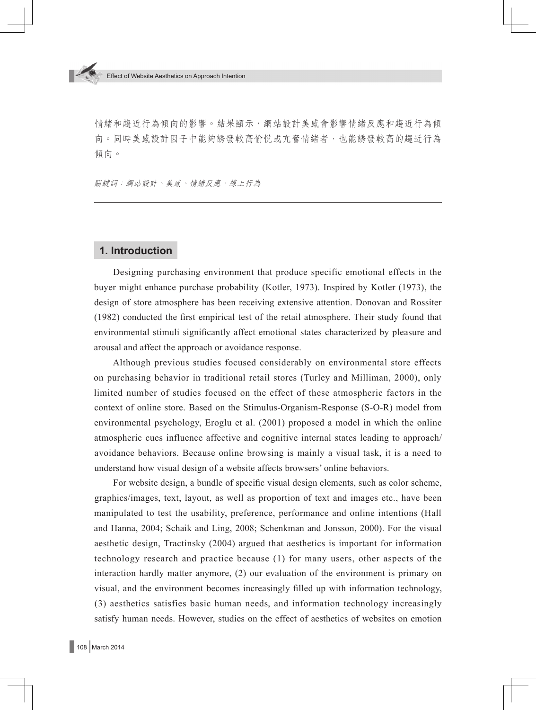情緒和趨近行為傾向的影響。結果顯示,網站設計美感會影響情緒反應和趨近行為傾 向。同時美感說計因子中能夠誘發較高愉悦或亢奮情緒者,也能誘發較高的趨近行為 傾向。

關鍵詞:網站設計、美感、情緒反應、線上行為

### **1. Introduction**

Designing purchasing environment that produce specific emotional effects in the buyer might enhance purchase probability (Kotler, 1973). Inspired by Kotler (1973), the design of store atmosphere has been receiving extensive attention. Donovan and Rossiter (1982) conducted the first empirical test of the retail atmosphere. Their study found that environmental stimuli significantly affect emotional states characterized by pleasure and arousal and affect the approach or avoidance response.

Although previous studies focused considerably on environmental store effects on purchasing behavior in traditional retail stores (Turley and Milliman, 2000), only limited number of studies focused on the effect of these atmospheric factors in the context of online store. Based on the Stimulus-Organism-Response (S-O-R) model from environmental psychology, Eroglu et al. (2001) proposed a model in which the online atmospheric cues influence affective and cognitive internal states leading to approach/ avoidance behaviors. Because online browsing is mainly a visual task, it is a need to understand how visual design of a website affects browsers' online behaviors.

For website design, a bundle of specific visual design elements, such as color scheme, graphics/images, text, layout, as well as proportion of text and images etc., have been manipulated to test the usability, preference, performance and online intentions (Hall and Hanna, 2004; Schaik and Ling, 2008; Schenkman and Jonsson, 2000). For the visual aesthetic design, Tractinsky (2004) argued that aesthetics is important for information technology research and practice because (1) for many users, other aspects of the interaction hardly matter anymore, (2) our evaluation of the environment is primary on visual, and the environment becomes increasingly filled up with information technology, (3) aesthetics satisfies basic human needs, and information technology increasingly satisfy human needs. However, studies on the effect of aesthetics of websites on emotion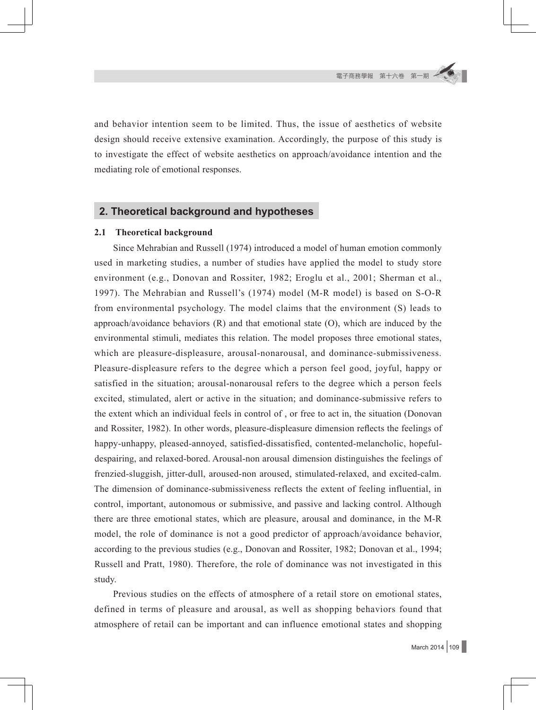and behavior intention seem to be limited. Thus, the issue of aesthetics of website design should receive extensive examination. Accordingly, the purpose of this study is to investigate the effect of website aesthetics on approach/avoidance intention and the mediating role of emotional responses.

## **2. Theoretical background and hypotheses**

### **2.1 Theoretical background**

Since Mehrabian and Russell (1974) introduced a model of human emotion commonly used in marketing studies, a number of studies have applied the model to study store environment (e.g., Donovan and Rossiter, 1982; Eroglu et al., 2001; Sherman et al., 1997). The Mehrabian and Russell's (1974) model (M-R model) is based on S-O-R from environmental psychology. The model claims that the environment (S) leads to approach/avoidance behaviors (R) and that emotional state (O), which are induced by the environmental stimuli, mediates this relation. The model proposes three emotional states, which are pleasure-displeasure, arousal-nonarousal, and dominance-submissiveness. Pleasure-displeasure refers to the degree which a person feel good, joyful, happy or satisfied in the situation; arousal-nonarousal refers to the degree which a person feels excited, stimulated, alert or active in the situation; and dominance-submissive refers to the extent which an individual feels in control of , or free to act in, the situation (Donovan and Rossiter, 1982). In other words, pleasure-displeasure dimension reflects the feelings of happy-unhappy, pleased-annoyed, satisfied-dissatisfied, contented-melancholic, hopefuldespairing, and relaxed-bored. Arousal-non arousal dimension distinguishes the feelings of frenzied-sluggish, jitter-dull, aroused-non aroused, stimulated-relaxed, and excited-calm. The dimension of dominance-submissiveness reflects the extent of feeling influential, in control, important, autonomous or submissive, and passive and lacking control. Although there are three emotional states, which are pleasure, arousal and dominance, in the M-R model, the role of dominance is not a good predictor of approach/avoidance behavior, according to the previous studies (e.g., Donovan and Rossiter, 1982; Donovan et al., 1994; Russell and Pratt, 1980). Therefore, the role of dominance was not investigated in this study.

Previous studies on the effects of atmosphere of a retail store on emotional states, defined in terms of pleasure and arousal, as well as shopping behaviors found that atmosphere of retail can be important and can influence emotional states and shopping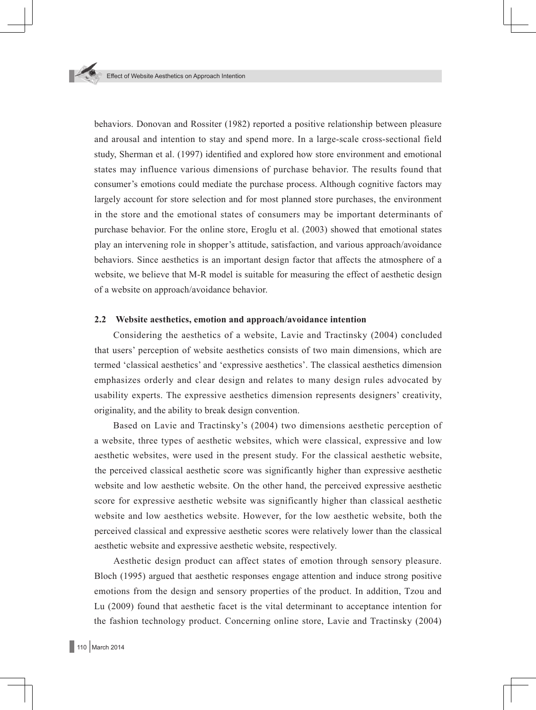

behaviors. Donovan and Rossiter (1982) reported a positive relationship between pleasure and arousal and intention to stay and spend more. In a large-scale cross-sectional field study, Sherman et al. (1997) identified and explored how store environment and emotional states may influence various dimensions of purchase behavior. The results found that consumer's emotions could mediate the purchase process. Although cognitive factors may largely account for store selection and for most planned store purchases, the environment in the store and the emotional states of consumers may be important determinants of purchase behavior. For the online store, Eroglu et al. (2003) showed that emotional states play an intervening role in shopper's attitude, satisfaction, and various approach/avoidance behaviors. Since aesthetics is an important design factor that affects the atmosphere of a website, we believe that M-R model is suitable for measuring the effect of aesthetic design of a website on approach/avoidance behavior.

#### **2.2 Website aesthetics, emotion and approach/avoidance intention**

Considering the aesthetics of a website, Lavie and Tractinsky (2004) concluded that users' perception of website aesthetics consists of two main dimensions, which are termed 'classical aesthetics' and 'expressive aesthetics'. The classical aesthetics dimension emphasizes orderly and clear design and relates to many design rules advocated by usability experts. The expressive aesthetics dimension represents designers' creativity, originality, and the ability to break design convention.

Based on Lavie and Tractinsky's (2004) two dimensions aesthetic perception of a website, three types of aesthetic websites, which were classical, expressive and low aesthetic websites, were used in the present study. For the classical aesthetic website, the perceived classical aesthetic score was significantly higher than expressive aesthetic website and low aesthetic website. On the other hand, the perceived expressive aesthetic score for expressive aesthetic website was significantly higher than classical aesthetic website and low aesthetics website. However, for the low aesthetic website, both the perceived classical and expressive aesthetic scores were relatively lower than the classical aesthetic website and expressive aesthetic website, respectively.

Aesthetic design product can affect states of emotion through sensory pleasure. Bloch (1995) argued that aesthetic responses engage attention and induce strong positive emotions from the design and sensory properties of the product. In addition, Tzou and Lu (2009) found that aesthetic facet is the vital determinant to acceptance intention for the fashion technology product. Concerning online store, Lavie and Tractinsky (2004)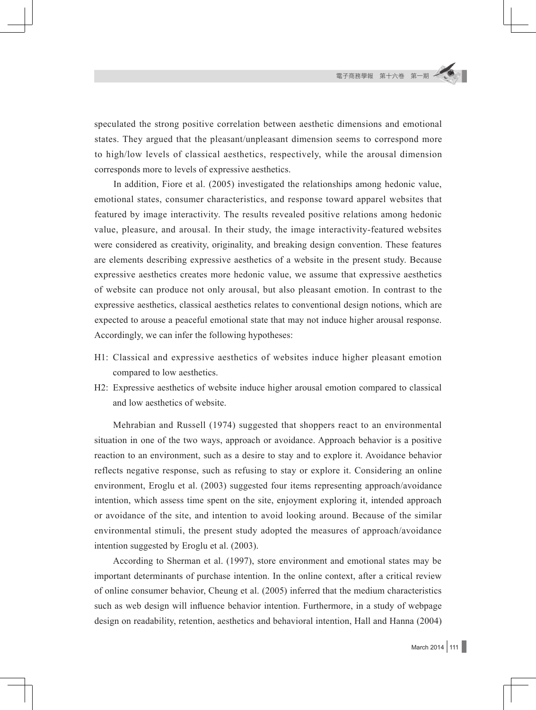speculated the strong positive correlation between aesthetic dimensions and emotional states. They argued that the pleasant/unpleasant dimension seems to correspond more to high/low levels of classical aesthetics, respectively, while the arousal dimension corresponds more to levels of expressive aesthetics.

In addition, Fiore et al. (2005) investigated the relationships among hedonic value, emotional states, consumer characteristics, and response toward apparel websites that featured by image interactivity. The results revealed positive relations among hedonic value, pleasure, and arousal. In their study, the image interactivity-featured websites were considered as creativity, originality, and breaking design convention. These features are elements describing expressive aesthetics of a website in the present study. Because expressive aesthetics creates more hedonic value, we assume that expressive aesthetics of website can produce not only arousal, but also pleasant emotion. In contrast to the expressive aesthetics, classical aesthetics relates to conventional design notions, which are expected to arouse a peaceful emotional state that may not induce higher arousal response. Accordingly, we can infer the following hypotheses:

- H1: Classical and expressive aesthetics of websites induce higher pleasant emotion compared to low aesthetics.
- H2: Expressive aesthetics of website induce higher arousal emotion compared to classical and low aesthetics of website.

Mehrabian and Russell (1974) suggested that shoppers react to an environmental situation in one of the two ways, approach or avoidance. Approach behavior is a positive reaction to an environment, such as a desire to stay and to explore it. Avoidance behavior reflects negative response, such as refusing to stay or explore it. Considering an online environment, Eroglu et al. (2003) suggested four items representing approach/avoidance intention, which assess time spent on the site, enjoyment exploring it, intended approach or avoidance of the site, and intention to avoid looking around. Because of the similar environmental stimuli, the present study adopted the measures of approach/avoidance intention suggested by Eroglu et al. (2003).

According to Sherman et al. (1997), store environment and emotional states may be important determinants of purchase intention. In the online context, after a critical review of online consumer behavior, Cheung et al. (2005) inferred that the medium characteristics such as web design will influence behavior intention. Furthermore, in a study of webpage design on readability, retention, aesthetics and behavioral intention, Hall and Hanna (2004)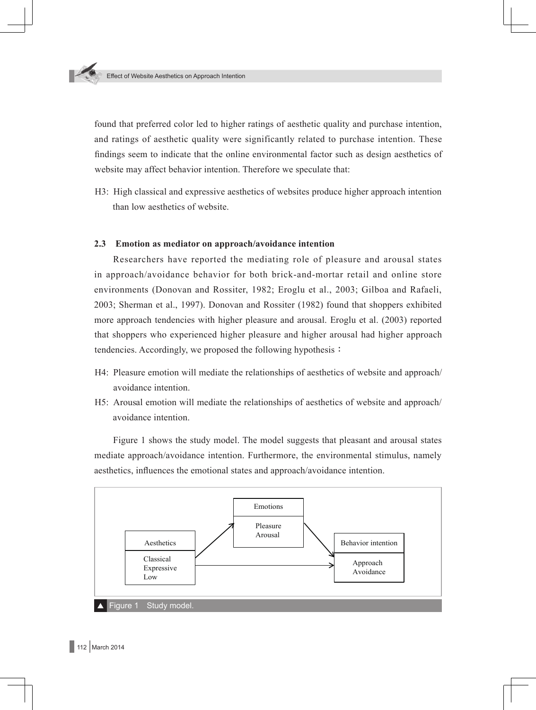

found that preferred color led to higher ratings of aesthetic quality and purchase intention, and ratings of aesthetic quality were significantly related to purchase intention. These findings seem to indicate that the online environmental factor such as design aesthetics of website may affect behavior intention. Therefore we speculate that:

H3: High classical and expressive aesthetics of websites produce higher approach intention than low aesthetics of website.

### **2.3 Emotion as mediator on approach/avoidance intention**

Researchers have reported the mediating role of pleasure and arousal states in approach/avoidance behavior for both brick-and-mortar retail and online store environments (Donovan and Rossiter, 1982; Eroglu et al., 2003; Gilboa and Rafaeli, 2003; Sherman et al., 1997). Donovan and Rossiter (1982) found that shoppers exhibited more approach tendencies with higher pleasure and arousal. Eroglu et al. (2003) reported that shoppers who experienced higher pleasure and higher arousal had higher approach tendencies. Accordingly, we proposed the following hypothesis:

- H4: Pleasure emotion will mediate the relationships of aesthetics of website and approach/ avoidance intention.
- H5: Arousal emotion will mediate the relationships of aesthetics of website and approach/ avoidance intention.

Figure 1 shows the study model. The model suggests that pleasant and arousal states mediate approach/avoidance intention. Furthermore, the environmental stimulus, namely aesthetics, influences the emotional states and approach/avoidance intention.

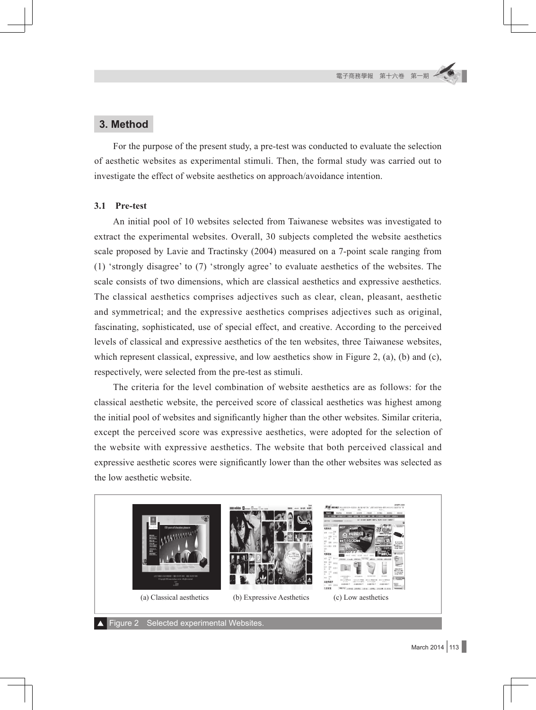## **3. Method**

For the purpose of the present study, a pre-test was conducted to evaluate the selection of aesthetic websites as experimental stimuli. Then, the formal study was carried out to investigate the effect of website aesthetics on approach/avoidance intention.

### **3.1 Pre-test**

An initial pool of 10 websites selected from Taiwanese websites was investigated to extract the experimental websites. Overall, 30 subjects completed the website aesthetics scale proposed by Lavie and Tractinsky (2004) measured on a 7-point scale ranging from (1) 'strongly disagree' to (7) 'strongly agree' to evaluate aesthetics of the websites. The scale consists of two dimensions, which are classical aesthetics and expressive aesthetics. The classical aesthetics comprises adjectives such as clear, clean, pleasant, aesthetic and symmetrical; and the expressive aesthetics comprises adjectives such as original, fascinating, sophisticated, use of special effect, and creative. According to the perceived levels of classical and expressive aesthetics of the ten websites, three Taiwanese websites, which represent classical, expressive, and low aesthetics show in Figure 2, (a), (b) and (c), respectively, were selected from the pre-test as stimuli.

The criteria for the level combination of website aesthetics are as follows: for the classical aesthetic website, the perceived score of classical aesthetics was highest among the initial pool of websites and significantly higher than the other websites. Similar criteria, except the perceived score was expressive aesthetics, were adopted for the selection of the website with expressive aesthetics. The website that both perceived classical and expressive aesthetic scores were significantly lower than the other websites was selected as the low aesthetic website.

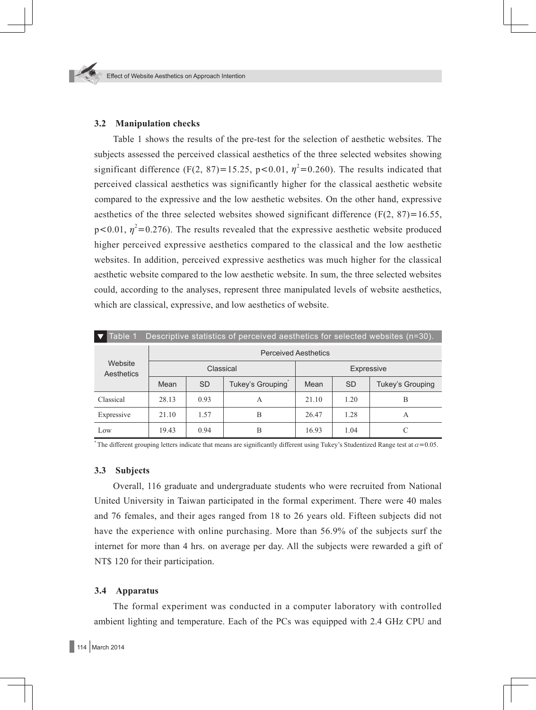### **3.2 Manipulation checks**

Table 1 shows the results of the pre-test for the selection of aesthetic websites. The subjects assessed the perceived classical aesthetics of the three selected websites showing significant difference (F(2, 87)=15.25, p<0.01,  $\eta^2$ =0.260). The results indicated that perceived classical aesthetics was significantly higher for the classical aesthetic website compared to the expressive and the low aesthetic websites. On the other hand, expressive aesthetics of the three selected websites showed significant difference ( $F(2, 87) = 16.55$ ,  $p<0.01$ ,  $\eta^2=0.276$ ). The results revealed that the expressive aesthetic website produced higher perceived expressive aesthetics compared to the classical and the low aesthetic websites. In addition, perceived expressive aesthetics was much higher for the classical aesthetic website compared to the low aesthetic website. In sum, the three selected websites could, according to the analyses, represent three manipulated levels of website aesthetics, which are classical, expressive, and low aesthetics of website.

| Table 1<br>Descriptive statistics of perceived aesthetics for selected websites (n=30). |                             |           |                  |            |           |                  |
|-----------------------------------------------------------------------------------------|-----------------------------|-----------|------------------|------------|-----------|------------------|
| Website<br>Aesthetics                                                                   | <b>Perceived Aesthetics</b> |           |                  |            |           |                  |
|                                                                                         | Classical                   |           |                  | Expressive |           |                  |
|                                                                                         | Mean                        | <b>SD</b> | Tukey's Grouping | Mean       | <b>SD</b> | Tukey's Grouping |
| Classical                                                                               | 28.13                       | 0.93      | A                | 21.10      | 1.20      | B                |
| Expressive                                                                              | 21.10                       | 1.57      | B                | 26.47      | 1.28      | A                |
| Low                                                                                     | 19.43                       | 0.94      | B                | 16.93      | 1.04      |                  |

The different grouping letters indicate that means are significantly different using Tukey's Studentized Range test at  $\alpha$ =0.05.

### **3.3 Subjects**

Overall, 116 graduate and undergraduate students who were recruited from National United University in Taiwan participated in the formal experiment. There were 40 males and 76 females, and their ages ranged from 18 to 26 years old. Fifteen subjects did not have the experience with online purchasing. More than 56.9% of the subjects surf the internet for more than 4 hrs. on average per day. All the subjects were rewarded a gift of NT\$ 120 for their participation.

### **3.4 Apparatus**

The formal experiment was conducted in a computer laboratory with controlled ambient lighting and temperature. Each of the PCs was equipped with 2.4 GHz CPU and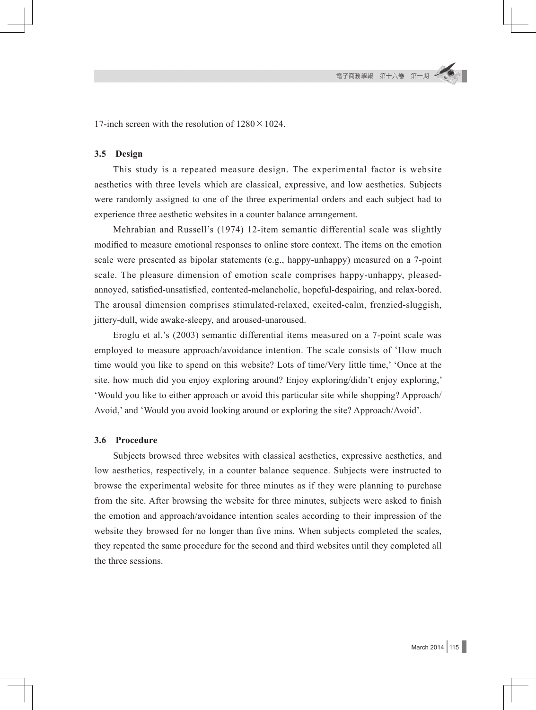17-inch screen with the resolution of  $1280 \times 1024$ .

#### **3.5 Design**

This study is a repeated measure design. The experimental factor is website aesthetics with three levels which are classical, expressive, and low aesthetics. Subjects were randomly assigned to one of the three experimental orders and each subject had to experience three aesthetic websites in a counter balance arrangement.

Mehrabian and Russell's (1974) 12-item semantic differential scale was slightly modified to measure emotional responses to online store context. The items on the emotion scale were presented as bipolar statements (e.g., happy-unhappy) measured on a 7-point scale. The pleasure dimension of emotion scale comprises happy-unhappy, pleasedannoyed, satisfied-unsatisfied, contented-melancholic, hopeful-despairing, and relax-bored. The arousal dimension comprises stimulated-relaxed, excited-calm, frenzied-sluggish, jittery-dull, wide awake-sleepy, and aroused-unaroused.

Eroglu et al.'s (2003) semantic differential items measured on a 7-point scale was employed to measure approach/avoidance intention. The scale consists of 'How much time would you like to spend on this website? Lots of time/Very little time,' 'Once at the site, how much did you enjoy exploring around? Enjoy exploring/didn't enjoy exploring,' 'Would you like to either approach or avoid this particular site while shopping? Approach/ Avoid,' and 'Would you avoid looking around or exploring the site? Approach/Avoid'.

#### **3.6 Procedure**

Subjects browsed three websites with classical aesthetics, expressive aesthetics, and low aesthetics, respectively, in a counter balance sequence. Subjects were instructed to browse the experimental website for three minutes as if they were planning to purchase from the site. After browsing the website for three minutes, subjects were asked to finish the emotion and approach/avoidance intention scales according to their impression of the website they browsed for no longer than five mins. When subjects completed the scales, they repeated the same procedure for the second and third websites until they completed all the three sessions.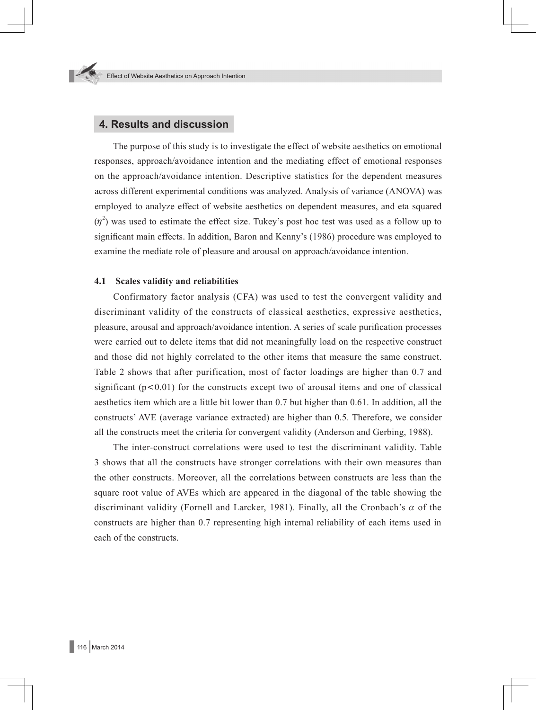## **4. Results and discussion**

The purpose of this study is to investigate the effect of website aesthetics on emotional responses, approach/avoidance intention and the mediating effect of emotional responses on the approach/avoidance intention. Descriptive statistics for the dependent measures across different experimental conditions was analyzed. Analysis of variance (ANOVA) was employed to analyze effect of website aesthetics on dependent measures, and eta squared  $(\eta^2)$  was used to estimate the effect size. Tukey's post hoc test was used as a follow up to significant main effects. In addition, Baron and Kenny's (1986) procedure was employed to examine the mediate role of pleasure and arousal on approach/avoidance intention.

#### **4.1 Scales validity and reliabilities**

Confirmatory factor analysis (CFA) was used to test the convergent validity and discriminant validity of the constructs of classical aesthetics, expressive aesthetics, pleasure, arousal and approach/avoidance intention. A series of scale purification processes were carried out to delete items that did not meaningfully load on the respective construct and those did not highly correlated to the other items that measure the same construct. Table 2 shows that after purification, most of factor loadings are higher than 0.7 and significant  $(p<0.01)$  for the constructs except two of arousal items and one of classical aesthetics item which are a little bit lower than 0.7 but higher than 0.61. In addition, all the constructs' AVE (average variance extracted) are higher than 0.5. Therefore, we consider all the constructs meet the criteria for convergent validity (Anderson and Gerbing, 1988).

The inter-construct correlations were used to test the discriminant validity. Table 3 shows that all the constructs have stronger correlations with their own measures than the other constructs. Moreover, all the correlations between constructs are less than the square root value of AVEs which are appeared in the diagonal of the table showing the discriminant validity (Fornell and Larcker, 1981). Finally, all the Cronbach's  $\alpha$  of the constructs are higher than 0.7 representing high internal reliability of each items used in each of the constructs.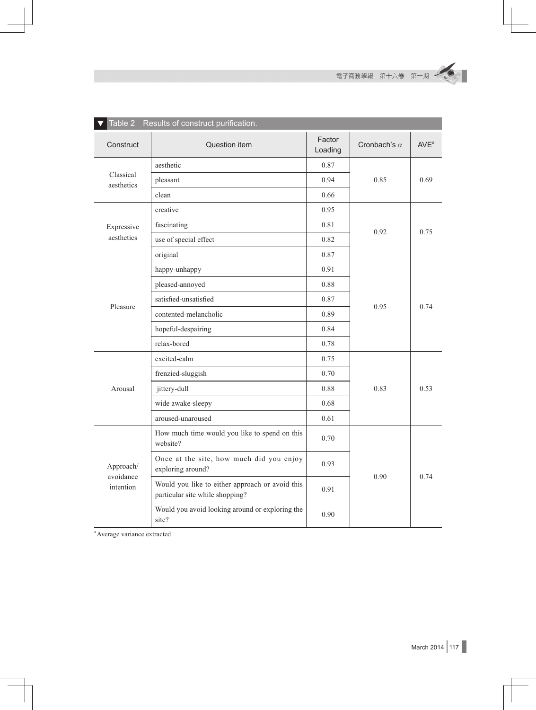٠

| Table 2<br>Results of construct purification. |                                                                                    |                                                                                                                                                              |                     |                  |  |  |  |
|-----------------------------------------------|------------------------------------------------------------------------------------|--------------------------------------------------------------------------------------------------------------------------------------------------------------|---------------------|------------------|--|--|--|
| Construct                                     | Question item                                                                      | Factor<br>Loading                                                                                                                                            | Cronbach's $\alpha$ | AVE <sup>a</sup> |  |  |  |
|                                               | aesthetic                                                                          | 0.87                                                                                                                                                         |                     | 0.69             |  |  |  |
| Classical<br>aesthetics                       | pleasant                                                                           | 0.94                                                                                                                                                         | 0.85                |                  |  |  |  |
|                                               | clean                                                                              | 0.66<br>0.95<br>0.81<br>0.82<br>0.87<br>0.91<br>0.88<br>0.87<br>0.89<br>0.84<br>0.78<br>0.75<br>0.70<br>0.88<br>0.68<br>0.61<br>0.70<br>0.93<br>0.91<br>0.90 |                     |                  |  |  |  |
| Expressive<br>aesthetics                      | creative                                                                           |                                                                                                                                                              |                     | 0.75             |  |  |  |
|                                               | fascinating                                                                        |                                                                                                                                                              |                     |                  |  |  |  |
|                                               | use of special effect                                                              |                                                                                                                                                              | 0.92                |                  |  |  |  |
|                                               | original                                                                           |                                                                                                                                                              |                     |                  |  |  |  |
|                                               | happy-unhappy                                                                      |                                                                                                                                                              |                     |                  |  |  |  |
|                                               | pleased-annoyed                                                                    |                                                                                                                                                              |                     |                  |  |  |  |
|                                               | satisfied-unsatisfied                                                              |                                                                                                                                                              |                     |                  |  |  |  |
|                                               | contented-melancholic                                                              |                                                                                                                                                              | 0.95                | 0.74             |  |  |  |
|                                               | hopeful-despairing                                                                 |                                                                                                                                                              |                     |                  |  |  |  |
| Pleasure                                      | relax-bored                                                                        |                                                                                                                                                              |                     |                  |  |  |  |
| Arousal                                       | excited-calm                                                                       |                                                                                                                                                              |                     | 0.53             |  |  |  |
|                                               | frenzied-sluggish                                                                  |                                                                                                                                                              |                     |                  |  |  |  |
|                                               | jittery-dull                                                                       |                                                                                                                                                              | 0.83                |                  |  |  |  |
|                                               | wide awake-sleepy                                                                  |                                                                                                                                                              |                     |                  |  |  |  |
|                                               | aroused-unaroused                                                                  |                                                                                                                                                              |                     |                  |  |  |  |
| Approach/<br>avoidance<br>intention           | How much time would you like to spend on this<br>website?                          |                                                                                                                                                              |                     | 0.74             |  |  |  |
|                                               | Once at the site, how much did you enjoy<br>exploring around?                      |                                                                                                                                                              |                     |                  |  |  |  |
|                                               | Would you like to either approach or avoid this<br>particular site while shopping? |                                                                                                                                                              | 0.90                |                  |  |  |  |
|                                               | Would you avoid looking around or exploring the<br>site?                           |                                                                                                                                                              |                     |                  |  |  |  |

a Average variance extracted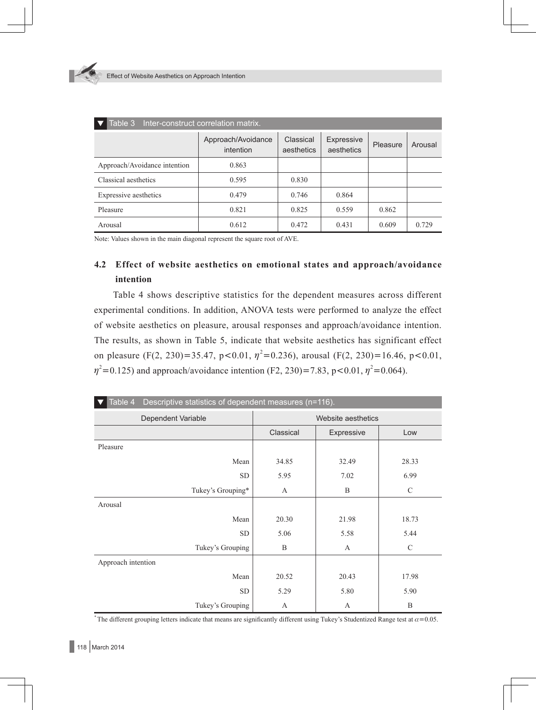| Inter-construct correlation matrix.<br>Table 3 |                                 |                         |                          |          |         |  |
|------------------------------------------------|---------------------------------|-------------------------|--------------------------|----------|---------|--|
|                                                | Approach/Avoidance<br>intention | Classical<br>aesthetics | Expressive<br>aesthetics | Pleasure | Arousal |  |
| Approach/Avoidance intention                   | 0.863                           |                         |                          |          |         |  |
| Classical aesthetics                           | 0.595                           | 0.830                   |                          |          |         |  |
| Expressive aesthetics                          | 0.479                           | 0.746                   | 0.864                    |          |         |  |
| Pleasure                                       | 0.821                           | 0.825                   | 0.559                    | 0.862    |         |  |
| Arousal                                        | 0.612                           | 0.472                   | 0.431                    | 0.609    | 0.729   |  |

Note: Values shown in the main diagonal represent the square root of AVE.

## **4.2 Effect of website aesthetics on emotional states and approach/avoidance intention**

Table 4 shows descriptive statistics for the dependent measures across different experimental conditions. In addition, ANOVA tests were performed to analyze the effect of website aesthetics on pleasure, arousal responses and approach/avoidance intention. The results, as shown in Table 5, indicate that website aesthetics has significant effect on pleasure (F(2, 230)=35.47, p<0.01,  $\eta^2$ =0.236), arousal (F(2, 230)=16.46, p<0.01,  $\eta^2$ =0.125) and approach/avoidance intention (F2, 230)=7.83, p<0.01,  $\eta^2$ =0.064).

| Table 4<br>Descriptive statistics of dependent measures (n=116). |                    |            |               |  |  |
|------------------------------------------------------------------|--------------------|------------|---------------|--|--|
| Dependent Variable                                               | Website aesthetics |            |               |  |  |
|                                                                  | Classical          | Expressive | Low           |  |  |
| Pleasure                                                         |                    |            |               |  |  |
| Mean                                                             | 34.85              | 32.49      | 28.33         |  |  |
| <b>SD</b>                                                        | 5.95               | 7.02       | 6.99          |  |  |
| Tukey's Grouping*                                                | A                  | B          | $\mathcal{C}$ |  |  |
| Arousal                                                          |                    |            |               |  |  |
| Mean                                                             | 20.30              | 21.98      | 18.73         |  |  |
| <b>SD</b>                                                        | 5.06               | 5.58       | 5.44          |  |  |
| Tukey's Grouping                                                 | B                  | A          | $\mathcal{C}$ |  |  |
| Approach intention                                               |                    |            |               |  |  |
| Mean                                                             | 20.52              | 20.43      | 17.98         |  |  |
| <b>SD</b>                                                        | 5.29               | 5.80       | 5.90          |  |  |
| Tukey's Grouping                                                 | А                  | A          | B             |  |  |

The different grouping letters indicate that means are significantly different using Tukey's Studentized Range test at  $\alpha$ =0.05.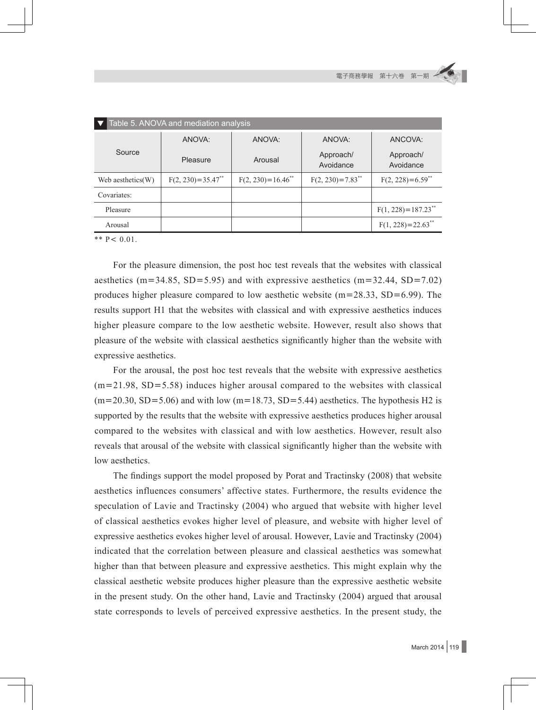| Table 5. ANOVA and mediation analysis |                                 |                                 |                                |                                    |  |  |
|---------------------------------------|---------------------------------|---------------------------------|--------------------------------|------------------------------------|--|--|
| Source                                | ANOVA:                          | ANOVA:                          | ANOVA:                         | ANCOVA:                            |  |  |
|                                       | Pleasure                        | Arousal                         | Approach/<br>Avoidance         | Approach/<br>Avoidance             |  |  |
| Web aesthetics(W)                     | $F(2, 230)=35.47$ <sup>**</sup> | $F(2, 230)=16.46$ <sup>**</sup> | $F(2, 230)=7.83$ <sup>**</sup> | $F(2, 228)=6.59$ <sup>**</sup>     |  |  |
| Covariates:                           |                                 |                                 |                                |                                    |  |  |
| Pleasure                              |                                 |                                 |                                | $F(1, 228) = 187.23$ <sup>**</sup> |  |  |
| Arousal                               |                                 |                                 |                                | $F(1, 228) = 22.63$ <sup>**</sup>  |  |  |

\*\*  $P < 0.01$ .

For the pleasure dimension, the post hoc test reveals that the websites with classical aesthetics (m=34.85, SD=5.95) and with expressive aesthetics (m=32.44, SD=7.02) produces higher pleasure compared to low aesthetic website  $(m=28.33, SD=6.99)$ . The results support H1 that the websites with classical and with expressive aesthetics induces higher pleasure compare to the low aesthetic website. However, result also shows that pleasure of the website with classical aesthetics significantly higher than the website with expressive aesthetics.

For the arousal, the post hoc test reveals that the website with expressive aesthetics  $(m=21.98, SD=5.58)$  induces higher arousal compared to the websites with classical  $(m=20.30, SD=5.06)$  and with low  $(m=18.73, SD=5.44)$  aesthetics. The hypothesis H2 is supported by the results that the website with expressive aesthetics produces higher arousal compared to the websites with classical and with low aesthetics. However, result also reveals that arousal of the website with classical significantly higher than the website with low aesthetics.

The findings support the model proposed by Porat and Tractinsky (2008) that website aesthetics influences consumers' affective states. Furthermore, the results evidence the speculation of Lavie and Tractinsky (2004) who argued that website with higher level of classical aesthetics evokes higher level of pleasure, and website with higher level of expressive aesthetics evokes higher level of arousal. However, Lavie and Tractinsky (2004) indicated that the correlation between pleasure and classical aesthetics was somewhat higher than that between pleasure and expressive aesthetics. This might explain why the classical aesthetic website produces higher pleasure than the expressive aesthetic website in the present study. On the other hand, Lavie and Tractinsky (2004) argued that arousal state corresponds to levels of perceived expressive aesthetics. In the present study, the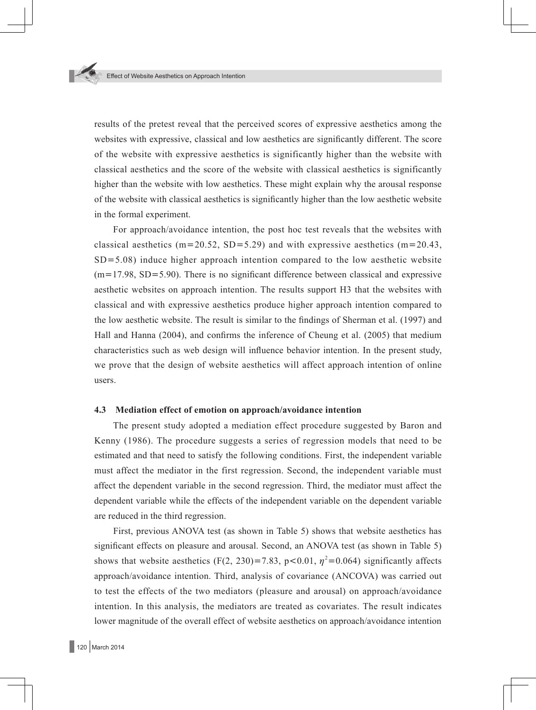results of the pretest reveal that the perceived scores of expressive aesthetics among the websites with expressive, classical and low aesthetics are significantly different. The score of the website with expressive aesthetics is significantly higher than the website with classical aesthetics and the score of the website with classical aesthetics is significantly higher than the website with low aesthetics. These might explain why the arousal response of the website with classical aesthetics is significantly higher than the low aesthetic website in the formal experiment.

For approach/avoidance intention, the post hoc test reveals that the websites with classical aesthetics (m=20.52, SD=5.29) and with expressive aesthetics (m=20.43,  $SD = 5.08$ ) induce higher approach intention compared to the low aesthetic website  $(m=17.98, SD=5.90)$ . There is no significant difference between classical and expressive aesthetic websites on approach intention. The results support H3 that the websites with classical and with expressive aesthetics produce higher approach intention compared to the low aesthetic website. The result is similar to the findings of Sherman et al. (1997) and Hall and Hanna (2004), and confirms the inference of Cheung et al. (2005) that medium characteristics such as web design will influence behavior intention. In the present study, we prove that the design of website aesthetics will affect approach intention of online users.

#### **4.3 Mediation effect of emotion on approach/avoidance intention**

The present study adopted a mediation effect procedure suggested by Baron and Kenny (1986). The procedure suggests a series of regression models that need to be estimated and that need to satisfy the following conditions. First, the independent variable must affect the mediator in the first regression. Second, the independent variable must affect the dependent variable in the second regression. Third, the mediator must affect the dependent variable while the effects of the independent variable on the dependent variable are reduced in the third regression.

First, previous ANOVA test (as shown in Table 5) shows that website aesthetics has significant effects on pleasure and arousal. Second, an ANOVA test (as shown in Table 5) shows that website aesthetics (F(2, 230)=7.83, p<0.01,  $\eta^2$ =0.064) significantly affects approach/avoidance intention. Third, analysis of covariance (ANCOVA) was carried out to test the effects of the two mediators (pleasure and arousal) on approach/avoidance intention. In this analysis, the mediators are treated as covariates. The result indicates lower magnitude of the overall effect of website aesthetics on approach/avoidance intention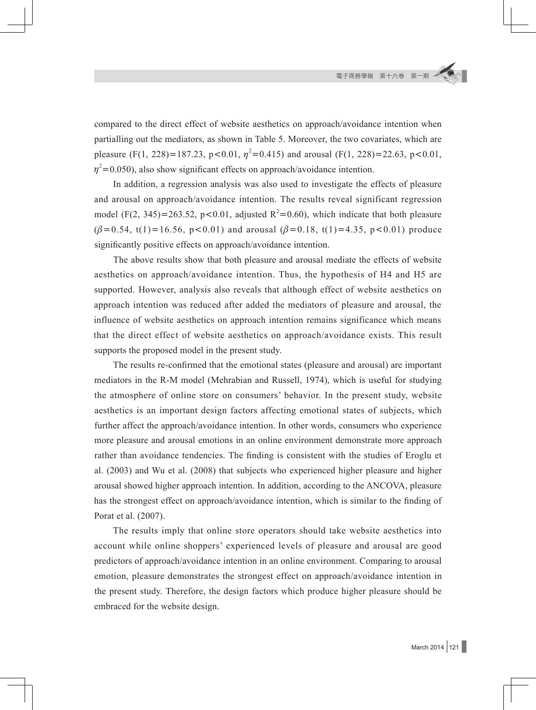compared to the direct effect of website aesthetics on approach/avoidance intention when partialling out the mediators, as shown in Table 5. Moreover, the two covariates, which are pleasure (F(1, 228)=187.23, p<0.01,  $\eta^2$ =0.415) and arousal (F(1, 228)=22.63, p<0.01,  $\eta^2$ =0.050), also show significant effects on approach/avoidance intention.

In addition, a regression analysis was also used to investigate the effects of pleasure and arousal on approach/avoidance intention. The results reveal significant regression model (F(2, 345)=263.52, p<0.01, adjusted  $R^2$ =0.60), which indicate that both pleasure  $(\beta=0.54, t(1)=16.56, p<0.01)$  and arousal  $(\beta=0.18, t(1)=4.35, p<0.01)$  produce significantly positive effects on approach/avoidance intention.

The above results show that both pleasure and arousal mediate the effects of website aesthetics on approach/avoidance intention. Thus, the hypothesis of H4 and H5 are supported. However, analysis also reveals that although effect of website aesthetics on approach intention was reduced after added the mediators of pleasure and arousal, the influence of website aesthetics on approach intention remains significance which means that the direct effect of website aesthetics on approach/avoidance exists. This result supports the proposed model in the present study.

The results re-confirmed that the emotional states (pleasure and arousal) are important mediators in the R-M model (Mehrabian and Russell, 1974), which is useful for studying the atmosphere of online store on consumers' behavior. In the present study, website aesthetics is an important design factors affecting emotional states of subjects, which further affect the approach/avoidance intention. In other words, consumers who experience more pleasure and arousal emotions in an online environment demonstrate more approach rather than avoidance tendencies. The finding is consistent with the studies of Eroglu et al. (2003) and Wu et al. (2008) that subjects who experienced higher pleasure and higher arousal showed higher approach intention. In addition, according to the ANCOVA, pleasure has the strongest effect on approach/avoidance intention, which is similar to the finding of Porat et al. (2007).

The results imply that online store operators should take website aesthetics into account while online shoppers' experienced levels of pleasure and arousal are good predictors of approach/avoidance intention in an online environment. Comparing to arousal emotion, pleasure demonstrates the strongest effect on approach/avoidance intention in the present study. Therefore, the design factors which produce higher pleasure should be embraced for the website design.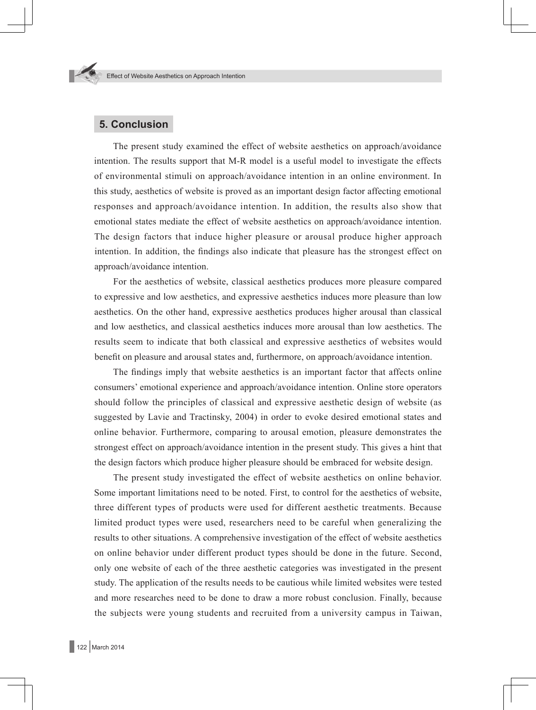## **5. Conclusion**

The present study examined the effect of website aesthetics on approach/avoidance intention. The results support that M-R model is a useful model to investigate the effects of environmental stimuli on approach/avoidance intention in an online environment. In this study, aesthetics of website is proved as an important design factor affecting emotional responses and approach/avoidance intention. In addition, the results also show that emotional states mediate the effect of website aesthetics on approach/avoidance intention. The design factors that induce higher pleasure or arousal produce higher approach intention. In addition, the findings also indicate that pleasure has the strongest effect on approach/avoidance intention.

For the aesthetics of website, classical aesthetics produces more pleasure compared to expressive and low aesthetics, and expressive aesthetics induces more pleasure than low aesthetics. On the other hand, expressive aesthetics produces higher arousal than classical and low aesthetics, and classical aesthetics induces more arousal than low aesthetics. The results seem to indicate that both classical and expressive aesthetics of websites would benefit on pleasure and arousal states and, furthermore, on approach/avoidance intention.

The findings imply that website aesthetics is an important factor that affects online consumers' emotional experience and approach/avoidance intention. Online store operators should follow the principles of classical and expressive aesthetic design of website (as suggested by Lavie and Tractinsky, 2004) in order to evoke desired emotional states and online behavior. Furthermore, comparing to arousal emotion, pleasure demonstrates the strongest effect on approach/avoidance intention in the present study. This gives a hint that the design factors which produce higher pleasure should be embraced for website design.

The present study investigated the effect of website aesthetics on online behavior. Some important limitations need to be noted. First, to control for the aesthetics of website, three different types of products were used for different aesthetic treatments. Because limited product types were used, researchers need to be careful when generalizing the results to other situations. A comprehensive investigation of the effect of website aesthetics on online behavior under different product types should be done in the future. Second, only one website of each of the three aesthetic categories was investigated in the present study. The application of the results needs to be cautious while limited websites were tested and more researches need to be done to draw a more robust conclusion. Finally, because the subjects were young students and recruited from a university campus in Taiwan,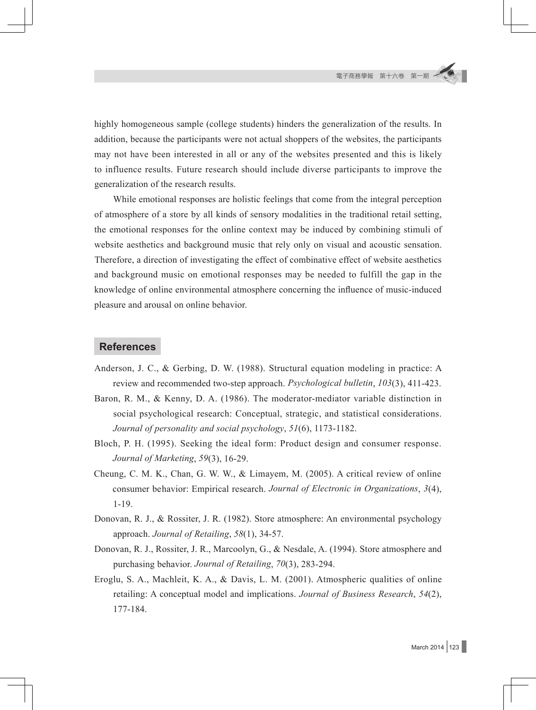highly homogeneous sample (college students) hinders the generalization of the results. In addition, because the participants were not actual shoppers of the websites, the participants may not have been interested in all or any of the websites presented and this is likely to influence results. Future research should include diverse participants to improve the generalization of the research results.

While emotional responses are holistic feelings that come from the integral perception of atmosphere of a store by all kinds of sensory modalities in the traditional retail setting, the emotional responses for the online context may be induced by combining stimuli of website aesthetics and background music that rely only on visual and acoustic sensation. Therefore, a direction of investigating the effect of combinative effect of website aesthetics and background music on emotional responses may be needed to fulfill the gap in the knowledge of online environmental atmosphere concerning the influence of music-induced pleasure and arousal on online behavior.

### **References**

- Anderson, J. C., & Gerbing, D. W. (1988). Structural equation modeling in practice: A review and recommended two-step approach. *Psychological bulletin*, *103*(3), 411-423.
- Baron, R. M., & Kenny, D. A. (1986). The moderator-mediator variable distinction in social psychological research: Conceptual, strategic, and statistical considerations. *Journal of personality and social psychology*, *51*(6), 1173-1182.
- Bloch, P. H. (1995). Seeking the ideal form: Product design and consumer response. *Journal of Marketing*, *59*(3), 16-29.
- Cheung, C. M. K., Chan, G. W. W., & Limayem, M. (2005). A critical review of online consumer behavior: Empirical research. *Journal of Electronic in Organizations*, *3*(4), 1-19.
- Donovan, R. J., & Rossiter, J. R. (1982). Store atmosphere: An environmental psychology approach. *Journal of Retailing*, *58*(1), 34-57.
- Donovan, R. J., Rossiter, J. R., Marcoolyn, G., & Nesdale, A. (1994). Store atmosphere and purchasing behavior. *Journal of Retailing*, *70*(3), 283-294.
- Eroglu, S. A., Machleit, K. A., & Davis, L. M. (2001). Atmospheric qualities of online retailing: A conceptual model and implications. *Journal of Business Research*, *54*(2), 177-184.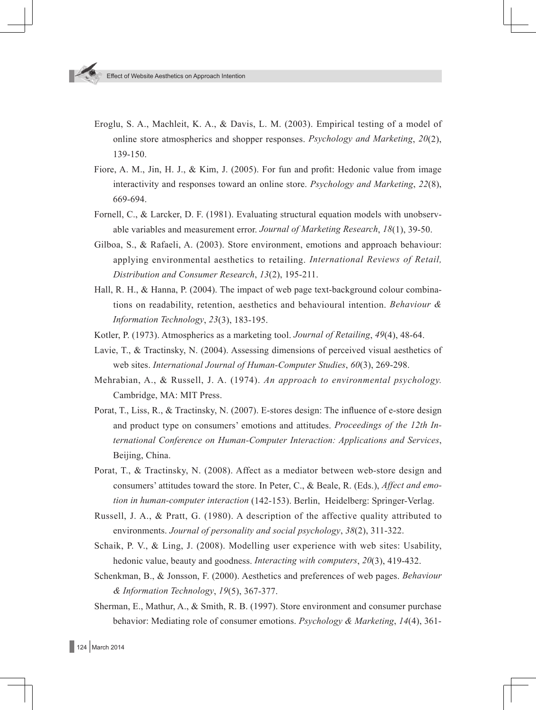- Eroglu, S. A., Machleit, K. A., & Davis, L. M. (2003). Empirical testing of a model of online store atmospherics and shopper responses. *Psychology and Marketing*, *20*(2), 139-150.
- Fiore, A. M., Jin, H. J., & Kim, J. (2005). For fun and profit: Hedonic value from image interactivity and responses toward an online store. *Psychology and Marketing*, *22*(8), 669-694.
- Fornell, C., & Larcker, D. F. (1981). Evaluating structural equation models with unobservable variables and measurement error. *Journal of Marketing Research*, *18*(1), 39-50.
- Gilboa, S., & Rafaeli, A. (2003). Store environment, emotions and approach behaviour: applying environmental aesthetics to retailing. *International Reviews of Retail, Distribution and Consumer Research*, *13*(2), 195-211.
- Hall, R. H., & Hanna, P. (2004). The impact of web page text-background colour combinations on readability, retention, aesthetics and behavioural intention. *Behaviour & Information Technology*, *23*(3), 183-195.
- Kotler, P. (1973). Atmospherics as a marketing tool. *Journal of Retailing*, *49*(4), 48-64.
- Lavie, T., & Tractinsky, N. (2004). Assessing dimensions of perceived visual aesthetics of web sites. *International Journal of Human-Computer Studies*, *60*(3), 269-298.
- Mehrabian, A., & Russell, J. A. (1974). *An approach to environmental psychology.*  Cambridge, MA: MIT Press.
- Porat, T., Liss, R., & Tractinsky, N. (2007). E-stores design: The influence of e-store design and product type on consumers' emotions and attitudes. *Proceedings of the 12th International Conference on Human-Computer Interaction: Applications and Services*, Beijing, China.
- Porat, T., & Tractinsky, N. (2008). Affect as a mediator between web-store design and consumers' attitudes toward the store. In Peter, C., & Beale, R. (Eds.), *Affect and emotion in human-computer interaction* (142-153). Berlin, Heidelberg: Springer-Verlag.
- Russell, J. A., & Pratt, G. (1980). A description of the affective quality attributed to environments. *Journal of personality and social psychology*, *38*(2), 311-322.
- Schaik, P. V., & Ling, J. (2008). Modelling user experience with web sites: Usability, hedonic value, beauty and goodness. *Interacting with computers*, *20*(3), 419-432.
- Schenkman, B., & Jonsson, F. (2000). Aesthetics and preferences of web pages. *Behaviour & Information Technology*, *19*(5), 367-377.
- Sherman, E., Mathur, A., & Smith, R. B. (1997). Store environment and consumer purchase behavior: Mediating role of consumer emotions. *Psychology & Marketing*, *14*(4), 361-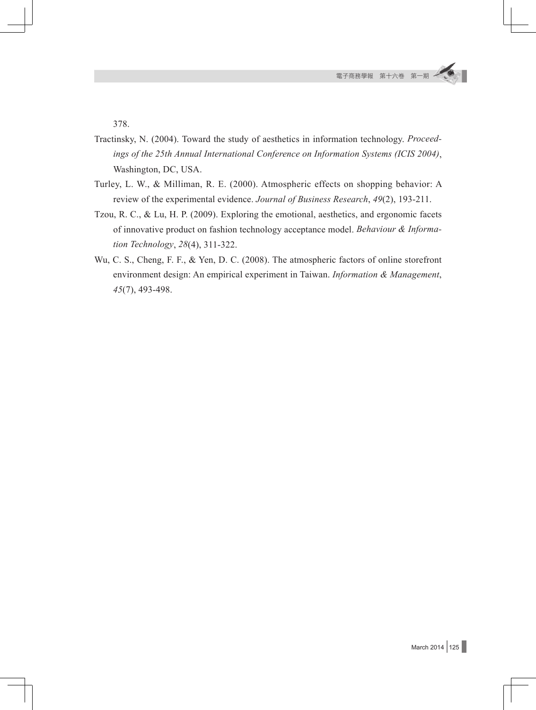378.

- Tractinsky, N. (2004). Toward the study of aesthetics in information technology. *Proceedings of the 25th Annual International Conference on Information Systems (ICIS 2004)*, Washington, DC, USA.
- Turley, L. W., & Milliman, R. E. (2000). Atmospheric effects on shopping behavior: A review of the experimental evidence. *Journal of Business Research*, *49*(2), 193-211.
- Tzou, R. C., & Lu, H. P. (2009). Exploring the emotional, aesthetics, and ergonomic facets of innovative product on fashion technology acceptance model. *Behaviour & Information Technology*, *28*(4), 311-322.
- Wu, C. S., Cheng, F. F., & Yen, D. C. (2008). The atmospheric factors of online storefront environment design: An empirical experiment in Taiwan. *Information & Management*, *45*(7), 493-498.